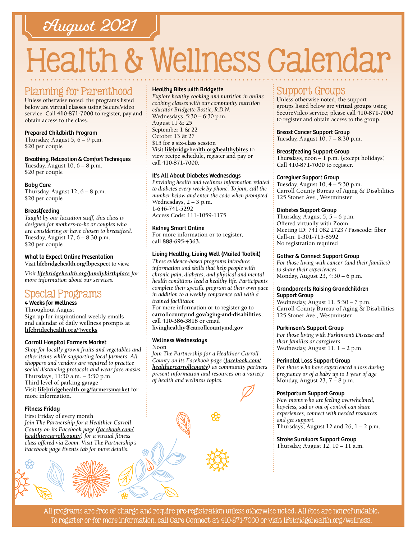## August 2021

# Health & Wellness Calendar

#### Planning for Parenthood

Unless otherwise noted, the programs listed below are **virtual classes** using SecureVideo service. Call **[410-871-7000](tel:4108717000)** to register, pay and obtain access to the class.

#### Prepared Childbirth Program

Thursday, August  $5, 6 - 9$  p.m. \$20 per couple

#### Breathing, Relaxation & Comfort Techniques

Tuesday, August  $10, 6 - 8$  p.m. \$20 per couple

#### Baby Care

Thursday, August  $12, 6 - 8$  p.m. \$20 per couple

#### Breastfeeding

*Taught by our lactation staff, this class is designed for mothers-to-be or couples who are considering or have chosen to breastfeed.* Tuesday, August 17, 6 – 8:30 p.m. \$20 per couple

#### What to Expect Online Presentation

Visit **[lifebridgehealth.org/fbpexpect](http://www.lifebridgehealth.org/fbpexpect)** to view.

*Visit [lifebridgehealth.org/familybirthplace](http://www.lifebridgehealth.org/familybirthplace) for more information about our services.*

### Special Programs

4 Weeks for Wellness Throughout August Sign up for inspirational weekly emails and calendar of daily wellness prompts at **[lifebridgehealth.org/4weeks](http://lifebridgehealth.org/4weeks)**

#### Carroll Hospital Farmers Market

*Shop for locally grown fruits and vegetables and other items while supporting local farmers. All shoppers and vendors are required to practice social distancing protocols and wear face masks.* Thursdays, 11:30 a.m. – 3:30 p.m. Third level of parking garage Visit **[lifebridgehealth.org/farmersmarket](https://www.lifebridgehealth.org/Carroll/FarmersMarket.aspx)** for more information.

#### Fitness Friday

First Friday of every month *Join The Partnership for a Healthier Carroll County on its Facebook page [\(facebook.com/](https://www.facebook.com/HealthierCarrollCounty/) [healthiercarrollcounty\)](https://www.facebook.com/HealthierCarrollCounty/) for a virtual fitness class offered via Zoom. Visit The Partnership's Facebook page [Events](https://www.facebook.com/HealthierCarrollCounty/events/?ref=page_internal) tab for more details.*

#### Healthy Bites with Bridgette

*Explore healthy cooking and nutrition in online cooking classes with our community nutrition educator Bridgette Bostic, R.D.N.* Wednesdays, 5:30 – 6:30 p.m. August 11 & 25 September 1 & 22 October 13 & 27 \$15 for a six-class session Visit **[lifebridgehealth.org/healthybites](http://www.lifebridgehealth.org/Carroll/HealthyBites.aspx)** to view recipe schedule, register and pay or call **[410-871-7000](tel:4108717000)**.

#### It's All About Diabetes Wednesdays

*Providing health and wellness information related to diabetes every week by phone. To join, call the number below and enter the code when prompted.* Wednesdays, 2 – 3 p.m. **[1-646-741-5292](tel:16467415292)** Access Code: 111-1059-1175

#### Kidney Smart Online

For more information or to register, call **88[8-695-4](tel:8886954363)363.** 

#### Living Healthy, Living Well (Mailed Toolkit)

*These evidence-based programs introduce information and skills that help people with chronic pain, diabetes, and physical and mental health conditions lead a healthy life. Participants complete their specific program at their own pace in addition to a weekly conference call with a trained facilitator.*

For more information or to register go to **[carrollcountymd.gov/aging-and-disabilities](https://www.carrollcountymd.gov/aging-and-disabilities)**, call **[410-386-3818](tel:4103863818)** or email **[livinghealthy@carrollcountymd.gov](mailto:livinghealthy@carrollcountymd.gov)**

#### Wellness Wednesdays

Noon *Join The Partnership for a Healthier Carroll County on its Facebook page [\(facebook.com/](https://www.facebook.com/HealthierCarrollCounty/) [healthiercarrollcounty\)](https://www.facebook.com/HealthierCarrollCounty/) as community partners present information and resources on a variety of health and wellness topics.*



#### Support Groups

Unless otherwise noted, the support groups listed below are **virtual groups** using SecureVideo service; please call **[410-871-7000](tel:4108717000)** to register and obtain access to the group.

#### Breast Cancer Support Group

Tuesday, August 10, 7 – 8:30 p.m.

#### Breastfeeding Support Group

Thursdays, noon – 1 p.m. (except holidays) Call **[410-871-7000](tel:4108717000)** to register.

#### Caregiver Support Group

Tuesday, August 10, 4 – 5:30 p.m. Carroll County Bureau of Aging & Disabilities 125 Stoner Ave., Westminster

#### Diabetes Support Group

Thursday, August 5, 5 – 6 p.m. Offered virtually with Zoom Meeting ID: 741 082 2723 / Passcode: fiber Call-in: **[1-301-715-8592](tel:13017158592)** No registration required

#### Gather & Connect Support Group

*For those living with cancer (and their families) to share their experiences* Monday, August 23, 4:30 – 6 p.m.

#### Grandparents Raising Grandchildren Support Group

Wednesday, August 11, 5:30 – 7 p.m. Carroll County Bureau of Aging & Disabilities 125 Stoner Ave., Westminster

#### Parkinson's Support Group

*For those living with Parkinson's Disease and their families or caregivers* Wednesday, August 11, 1 – 2 p.m.

#### Perinatal Loss Support Group

*For those who have experienced a loss during pregnancy or of a baby up to 1 year of age* Monday, August 23, 7 – 8 p.m.

#### Postpartum Support Group

*New moms who are feeling overwhelmed, hopeless, sad or out of control can share experiences, connect with needed resources and get support.* Thursdays, August 12 and 26,  $1 - 2$  p.m.

#### Stroke Survivors Support Group

Thursday, August 12, 10 – 11 a.m.

All programs are free of charge and require pre-registration unless otherwise noted. All fees are nonrefundable. To register or for more information, call Care Connect at [410-871-7000](tel:4108717000) or visit [lifebridgehealth.org/wellness.](https://www.lifebridgehealth.org/Carroll/CarrollHospitalTevisCenterforWellness.aspx)